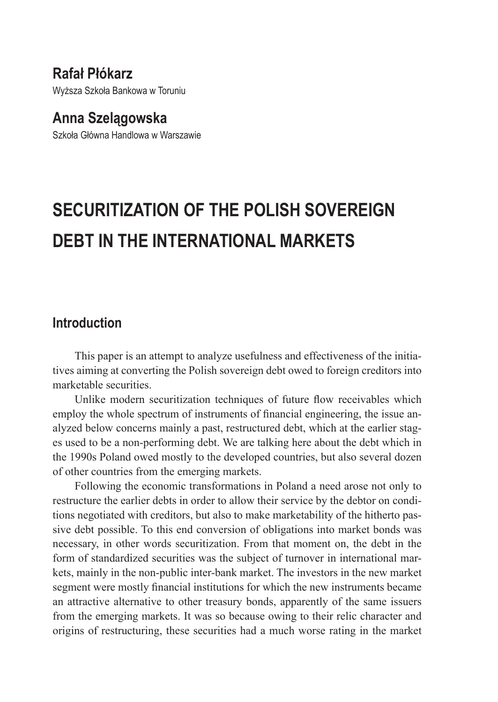**Rafał Płókarz** Wyższa Szkoła Bankowa w Toruniu

**Anna Szelągowska** Szkoła Główna Handlowa w Warszawie

# **SECURITIZATION OF THE POLISH SOVEREIGN DEBT IN THE INTERNATIONAL MARKETS**

# **Introduction**

This paper is an attempt to analyze usefulness and effectiveness of the initiatives aiming at converting the Polish sovereign debt owed to foreign creditors into marketable securities.

Unlike modern securitization techniques of future flow receivables which employ the whole spectrum of instruments of financial engineering, the issue analyzed below concerns mainly a past, restructured debt, which at the earlier stages used to be a non-performing debt. We are talking here about the debt which in the 1990s Poland owed mostly to the developed countries, but also several dozen of other countries from the emerging markets.

Following the economic transformations in Poland a need arose not only to restructure the earlier debts in order to allow their service by the debtor on conditions negotiated with creditors, but also to make marketability of the hitherto passive debt possible. To this end conversion of obligations into market bonds was necessary, in other words securitization. From that moment on, the debt in the form of standardized securities was the subject of turnover in international markets, mainly in the non-public inter-bank market. The investors in the new market segment were mostly financial institutions for which the new instruments became an attractive alternative to other treasury bonds, apparently of the same issuers from the emerging markets. It was so because owing to their relic character and origins of restructuring, these securities had a much worse rating in the market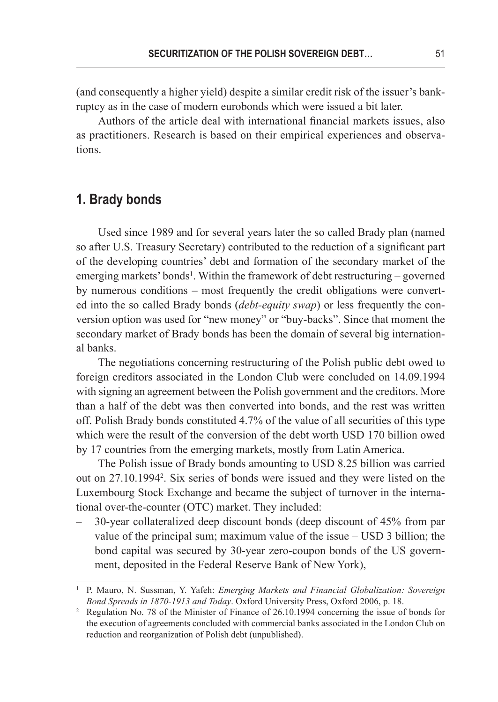(and consequently a higher yield) despite a similar credit risk of the issuer's bankruptcy as in the case of modern eurobonds which were issued a bit later.

Authors of the article deal with international financial markets issues, also as practitioners. Research is based on their empirical experiences and observations.

# **1. Brady bonds**

Used since 1989 and for several years later the so called Brady plan (named so after U.S. Treasury Secretary) contributed to the reduction of a significant part of the developing countries' debt and formation of the secondary market of the emerging markets' bonds<sup>1</sup>. Within the framework of debt restructuring – governed by numerous conditions – most frequently the credit obligations were converted into the so called Brady bonds (*debt-equity swap*) or less frequently the conversion option was used for "new money" or "buy-backs". Since that moment the secondary market of Brady bonds has been the domain of several big international banks.

The negotiations concerning restructuring of the Polish public debt owed to foreign creditors associated in the London Club were concluded on 14.09.1994 with signing an agreement between the Polish government and the creditors. More than a half of the debt was then converted into bonds, and the rest was written off. Polish Brady bonds constituted 4.7% of the value of all securities of this type which were the result of the conversion of the debt worth USD 170 billion owed by 17 countries from the emerging markets, mostly from Latin America.

The Polish issue of Brady bonds amounting to USD 8.25 billion was carried out on 27.10.1994<sup>2</sup> . Six series of bonds were issued and they were listed on the Luxembourg Stock Exchange and became the subject of turnover in the international over-the-counter (OTC) market. They included:

– 30-year collateralized deep discount bonds (deep discount of 45% from par value of the principal sum; maximum value of the issue – USD 3 billion; the bond capital was secured by 30-year zero-coupon bonds of the US government, deposited in the Federal Reserve Bank of New York),

<sup>1</sup> P. Mauro, N. Sussman, Y. Yafeh: *Emerging Markets and Financial Globalization: Sovereign Bond Spreads in 1870-1913 and Today*. Oxford University Press, Oxford 2006, p. 18.

<sup>2</sup> Regulation No. 78 of the Minister of Finance of 26.10.1994 concerning the issue of bonds for the execution of agreements concluded with commercial banks associated in the London Club on reduction and reorganization of Polish debt (unpublished).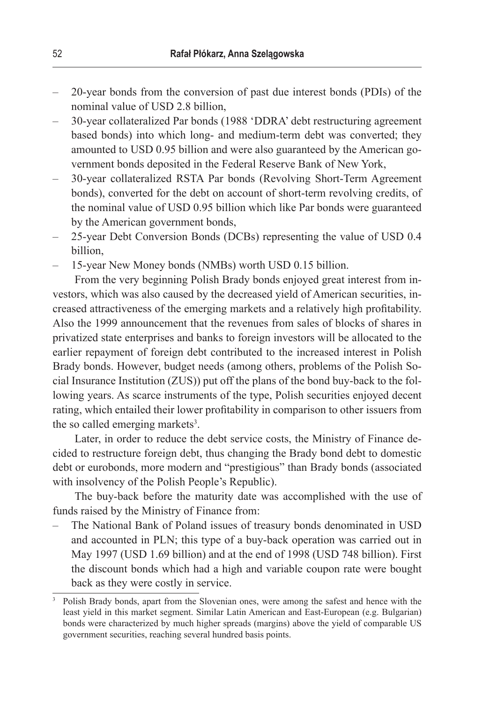- 20-year bonds from the conversion of past due interest bonds (PDIs) of the nominal value of USD 2.8 billion,
- 30-year collateralized Par bonds (1988 'DDRA' debt restructuring agreement based bonds) into which long- and medium-term debt was converted; they amounted to USD 0.95 billion and were also guaranteed by the American government bonds deposited in the Federal Reserve Bank of New York,
- 30-year collateralized RSTA Par bonds (Revolving Short-Term Agreement bonds), converted for the debt on account of short-term revolving credits, of the nominal value of USD 0.95 billion which like Par bonds were guaranteed by the American government bonds,
- 25-year Debt Conversion Bonds (DCBs) representing the value of USD 0.4 billion,
- 15-year New Money bonds (NMBs) worth USD 0.15 billion.

From the very beginning Polish Brady bonds enjoyed great interest from investors, which was also caused by the decreased yield of American securities, increased attractiveness of the emerging markets and a relatively high profitability. Also the 1999 announcement that the revenues from sales of blocks of shares in privatized state enterprises and banks to foreign investors will be allocated to the earlier repayment of foreign debt contributed to the increased interest in Polish Brady bonds. However, budget needs (among others, problems of the Polish Social Insurance Institution (ZUS)) put off the plans of the bond buy-back to the following years. As scarce instruments of the type, Polish securities enjoyed decent rating, which entailed their lower profitability in comparison to other issuers from the so called emerging markets<sup>3</sup>.

Later, in order to reduce the debt service costs, the Ministry of Finance decided to restructure foreign debt, thus changing the Brady bond debt to domestic debt or eurobonds, more modern and "prestigious" than Brady bonds (associated with insolvency of the Polish People's Republic).

The buy-back before the maturity date was accomplished with the use of funds raised by the Ministry of Finance from:

– The National Bank of Poland issues of treasury bonds denominated in USD and accounted in PLN; this type of a buy-back operation was carried out in May 1997 (USD 1.69 billion) and at the end of 1998 (USD 748 billion). First the discount bonds which had a high and variable coupon rate were bought back as they were costly in service.

<sup>3</sup> Polish Brady bonds, apart from the Slovenian ones, were among the safest and hence with the least yield in this market segment. Similar Latin American and East-European (e.g. Bulgarian) bonds were characterized by much higher spreads (margins) above the yield of comparable US government securities, reaching several hundred basis points.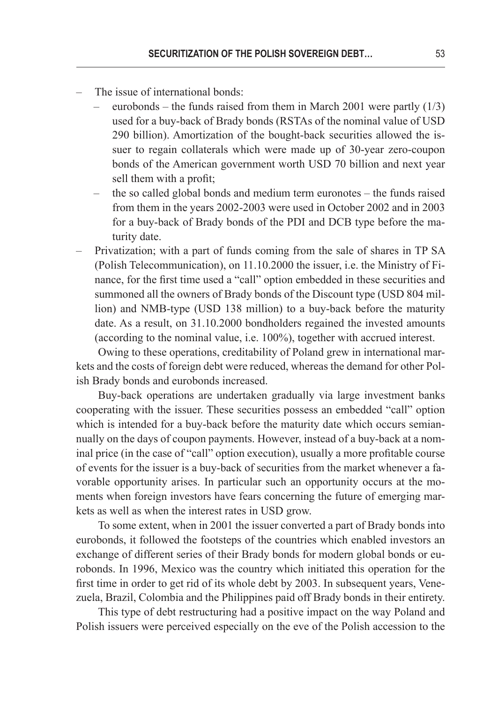- The issue of international bonds:
	- eurobonds the funds raised from them in March 2001 were partly  $(1/3)$ used for a buy-back of Brady bonds (RSTAs of the nominal value of USD 290 billion). Amortization of the bought-back securities allowed the issuer to regain collaterals which were made up of 30-year zero-coupon bonds of the American government worth USD 70 billion and next year sell them with a profit;
	- the so called global bonds and medium term euronotes the funds raised from them in the years 2002-2003 were used in October 2002 and in 2003 for a buy-back of Brady bonds of the PDI and DCB type before the maturity date.
- Privatization; with a part of funds coming from the sale of shares in TP SA (Polish Telecommunication), on 11.10.2000 the issuer, i.e. the Ministry of Finance, for the first time used a "call" option embedded in these securities and summoned all the owners of Brady bonds of the Discount type (USD 804 million) and NMB-type (USD 138 million) to a buy-back before the maturity date. As a result, on 31.10.2000 bondholders regained the invested amounts (according to the nominal value, i.e. 100%), together with accrued interest.

Owing to these operations, creditability of Poland grew in international markets and the costs of foreign debt were reduced, whereas the demand for other Polish Brady bonds and eurobonds increased.

Buy-back operations are undertaken gradually via large investment banks cooperating with the issuer. These securities possess an embedded "call" option which is intended for a buy-back before the maturity date which occurs semiannually on the days of coupon payments. However, instead of a buy-back at a nominal price (in the case of "call" option execution), usually a more profitable course of events for the issuer is a buy-back of securities from the market whenever a favorable opportunity arises. In particular such an opportunity occurs at the moments when foreign investors have fears concerning the future of emerging markets as well as when the interest rates in USD grow.

To some extent, when in 2001 the issuer converted a part of Brady bonds into eurobonds, it followed the footsteps of the countries which enabled investors an exchange of different series of their Brady bonds for modern global bonds or eurobonds. In 1996, Mexico was the country which initiated this operation for the first time in order to get rid of its whole debt by 2003. In subsequent years, Venezuela, Brazil, Colombia and the Philippines paid off Brady bonds in their entirety.

This type of debt restructuring had a positive impact on the way Poland and Polish issuers were perceived especially on the eve of the Polish accession to the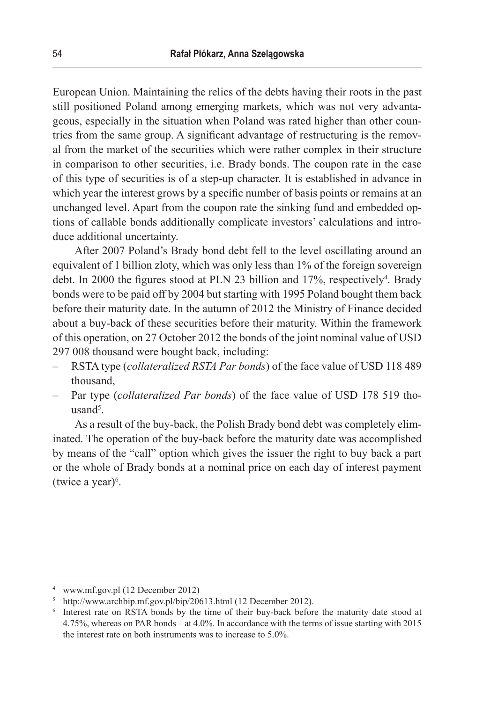European Union. Maintaining the relics of the debts having their roots in the past still positioned Poland among emerging markets, which was not very advantageous, especially in the situation when Poland was rated higher than other countries from the same group. A significant advantage of restructuring is the removal from the market of the securities which were rather complex in their structure in comparison to other securities, i.e. Brady bonds. The coupon rate in the case of this type of securities is of a step-up character. It is established in advance in which year the interest grows by a specific number of basis points or remains at an unchanged level. Apart from the coupon rate the sinking fund and embedded options of callable bonds additionally complicate investors' calculations and introduce additional uncertainty.

After 2007 Poland's Brady bond debt fell to the level oscillating around an equivalent of 1 billion zloty, which was only less than 1% of the foreign sovereign debt. In 2000 the figures stood at PLN 23 billion and  $17\%$ , respectively<sup>4</sup>. Brady bonds were to be paid off by 2004 but starting with 1995 Poland bought them back before their maturity date. In the autumn of 2012 the Ministry of Finance decided about a buy-back of these securities before their maturity. Within the framework of this operation, on 27 October 2012 the bonds of the joint nominal value of USD 297 008 thousand were bought back, including:

- RSTA type (*collateralized RSTA Par bonds*) of the face value of USD 118 489 thousand,
- Par type (*collateralized Par bonds*) of the face value of USD 178 519 tho $usand<sup>5</sup>$ .

As a result of the buy-back, the Polish Brady bond debt was completely eliminated. The operation of the buy-back before the maturity date was accomplished by means of the "call" option which gives the issuer the right to buy back a part or the whole of Brady bonds at a nominal price on each day of interest payment  $(twice a year)^6$ .

<sup>4</sup> www.mf.gov.pl (12 December 2012)

<sup>5</sup> http://www.archbip.mf.gov.pl/bip/20613.html (12 December 2012).

<sup>6</sup> Interest rate on RSTA bonds by the time of their buy-back before the maturity date stood at 4.75%, whereas on PAR bonds – at 4.0%. In accordance with the terms of issue starting with 2015 the interest rate on both instruments was to increase to 5.0%.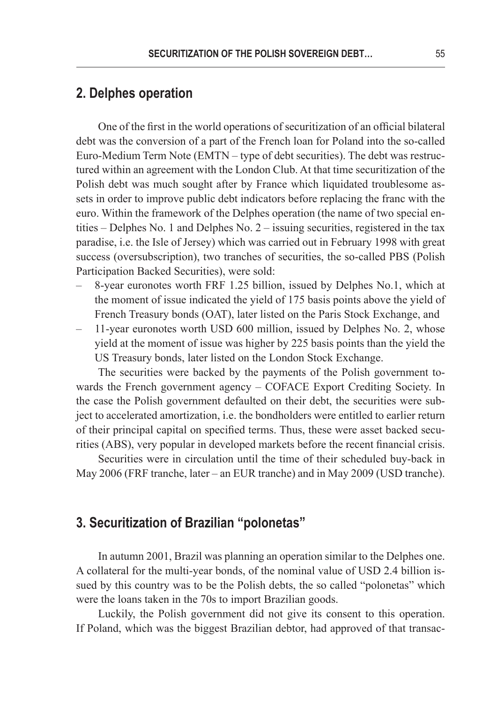## **2. Delphes operation**

One of the first in the world operations of securitization of an official bilateral debt was the conversion of a part of the French loan for Poland into the so-called Euro-Medium Term Note (EMTN – type of debt securities). The debt was restructured within an agreement with the London Club. At that time securitization of the Polish debt was much sought after by France which liquidated troublesome assets in order to improve public debt indicators before replacing the franc with the euro. Within the framework of the Delphes operation (the name of two special entities – Delphes No. 1 and Delphes No. 2 – issuing securities, registered in the tax paradise, i.e. the Isle of Jersey) which was carried out in February 1998 with great success (oversubscription), two tranches of securities, the so-called PBS (Polish Participation Backed Securities), were sold:

- 8-year euronotes worth FRF 1.25 billion, issued by Delphes No.1, which at the moment of issue indicated the yield of 175 basis points above the yield of French Treasury bonds (OAT), later listed on the Paris Stock Exchange, and
- 11-year euronotes worth USD 600 million, issued by Delphes No. 2, whose yield at the moment of issue was higher by 225 basis points than the yield the US Treasury bonds, later listed on the London Stock Exchange.

The securities were backed by the payments of the Polish government towards the French government agency – COFACE Export Crediting Society. In the case the Polish government defaulted on their debt, the securities were subject to accelerated amortization, i.e. the bondholders were entitled to earlier return of their principal capital on specified terms. Thus, these were asset backed securities (ABS), very popular in developed markets before the recent financial crisis.

Securities were in circulation until the time of their scheduled buy-back in May 2006 (FRF tranche, later – an EUR tranche) and in May 2009 (USD tranche).

#### **3. Securitization of Brazilian "polonetas"**

In autumn 2001, Brazil was planning an operation similar to the Delphes one. A collateral for the multi-year bonds, of the nominal value of USD 2.4 billion issued by this country was to be the Polish debts, the so called "polonetas" which were the loans taken in the 70s to import Brazilian goods.

Luckily, the Polish government did not give its consent to this operation. If Poland, which was the biggest Brazilian debtor, had approved of that transac-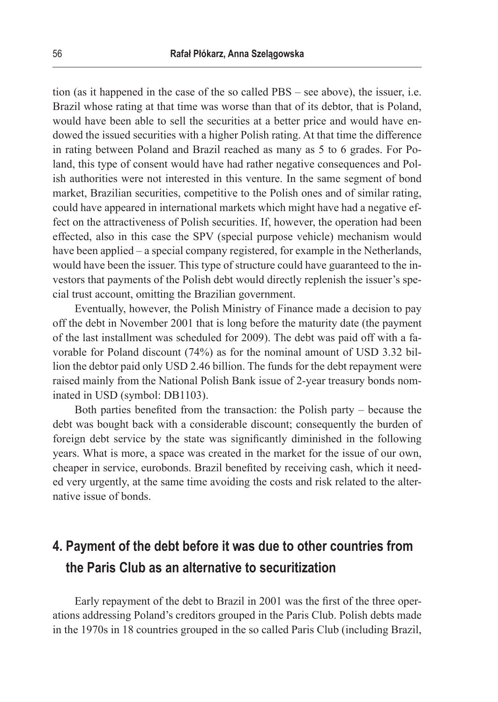tion (as it happened in the case of the so called PBS – see above), the issuer, i.e. Brazil whose rating at that time was worse than that of its debtor, that is Poland, would have been able to sell the securities at a better price and would have endowed the issued securities with a higher Polish rating. At that time the difference in rating between Poland and Brazil reached as many as 5 to 6 grades. For Poland, this type of consent would have had rather negative consequences and Polish authorities were not interested in this venture. In the same segment of bond market, Brazilian securities, competitive to the Polish ones and of similar rating, could have appeared in international markets which might have had a negative effect on the attractiveness of Polish securities. If, however, the operation had been effected, also in this case the SPV (special purpose vehicle) mechanism would have been applied – a special company registered, for example in the Netherlands, would have been the issuer. This type of structure could have guaranteed to the investors that payments of the Polish debt would directly replenish the issuer's special trust account, omitting the Brazilian government.

Eventually, however, the Polish Ministry of Finance made a decision to pay off the debt in November 2001 that is long before the maturity date (the payment of the last installment was scheduled for 2009). The debt was paid off with a favorable for Poland discount (74%) as for the nominal amount of USD 3.32 billion the debtor paid only USD 2.46 billion. The funds for the debt repayment were raised mainly from the National Polish Bank issue of 2-year treasury bonds nominated in USD (symbol: DB1103).

Both parties benefited from the transaction: the Polish party – because the debt was bought back with a considerable discount; consequently the burden of foreign debt service by the state was significantly diminished in the following years. What is more, a space was created in the market for the issue of our own, cheaper in service, eurobonds. Brazil benefited by receiving cash, which it needed very urgently, at the same time avoiding the costs and risk related to the alternative issue of bonds.

# **4. Payment of the debt before it was due to other countries from the Paris Club as an alternative to securitization**

Early repayment of the debt to Brazil in 2001 was the first of the three operations addressing Poland's creditors grouped in the Paris Club. Polish debts made in the 1970s in 18 countries grouped in the so called Paris Club (including Brazil,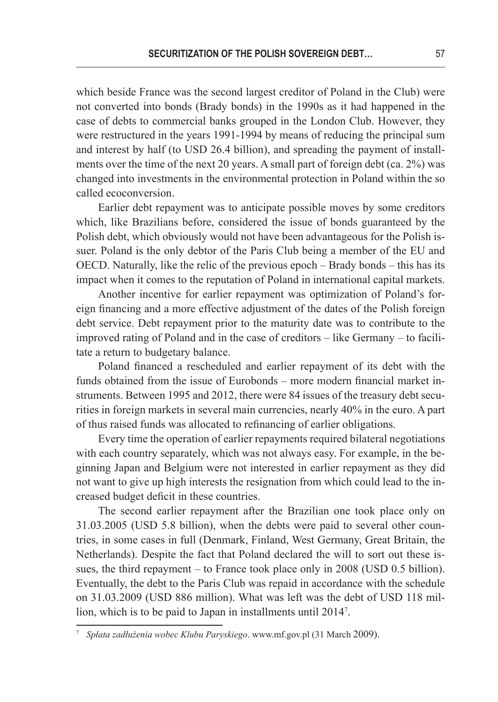which beside France was the second largest creditor of Poland in the Club) were not converted into bonds (Brady bonds) in the 1990s as it had happened in the case of debts to commercial banks grouped in the London Club. However, they were restructured in the years 1991-1994 by means of reducing the principal sum and interest by half (to USD 26.4 billion), and spreading the payment of installments over the time of the next 20 years. A small part of foreign debt (ca. 2%) was changed into investments in the environmental protection in Poland within the so called ecoconversion.

Earlier debt repayment was to anticipate possible moves by some creditors which, like Brazilians before, considered the issue of bonds guaranteed by the Polish debt, which obviously would not have been advantageous for the Polish issuer. Poland is the only debtor of the Paris Club being a member of the EU and OECD. Naturally, like the relic of the previous epoch – Brady bonds – this has its impact when it comes to the reputation of Poland in international capital markets.

Another incentive for earlier repayment was optimization of Poland's foreign financing and a more effective adjustment of the dates of the Polish foreign debt service. Debt repayment prior to the maturity date was to contribute to the improved rating of Poland and in the case of creditors – like Germany – to facilitate a return to budgetary balance.

Poland financed a rescheduled and earlier repayment of its debt with the funds obtained from the issue of Eurobonds – more modern financial market instruments. Between 1995 and 2012, there were 84 issues of the treasury debt securities in foreign markets in several main currencies, nearly 40% in the euro. A part of thus raised funds was allocated to refinancing of earlier obligations.

Every time the operation of earlier repayments required bilateral negotiations with each country separately, which was not always easy. For example, in the beginning Japan and Belgium were not interested in earlier repayment as they did not want to give up high interests the resignation from which could lead to the increased budget deficit in these countries.

The second earlier repayment after the Brazilian one took place only on 31.03.2005 (USD 5.8 billion), when the debts were paid to several other countries, in some cases in full (Denmark, Finland, West Germany, Great Britain, the Netherlands). Despite the fact that Poland declared the will to sort out these issues, the third repayment – to France took place only in 2008 (USD 0.5 billion). Eventually, the debt to the Paris Club was repaid in accordance with the schedule on 31.03.2009 (USD 886 million). What was left was the debt of USD 118 million, which is to be paid to Japan in installments until 20147 .

<sup>7</sup> *Spłata zadłużenia wobec Klubu Paryskiego*. www.mf.gov.pl (31 March 2009).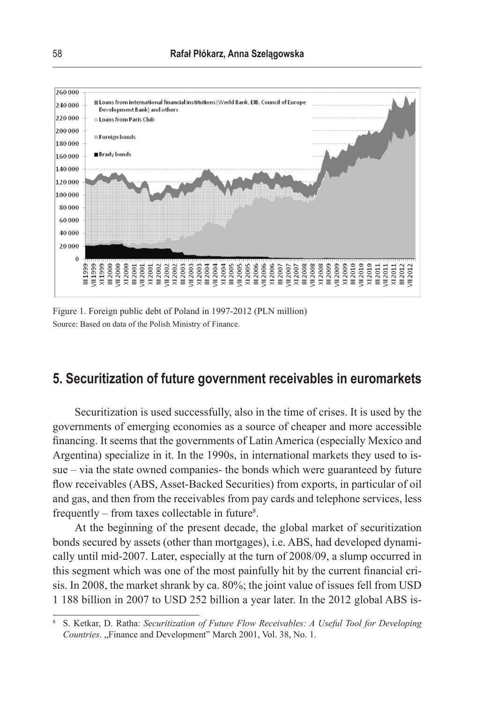

Figure 1. Foreign public debt of Poland in 1997-2012 (PLN million) Source: Based on data of the Polish Ministry of Finance.

# **5. Securitization of future government receivables in euromarkets**

Securitization is used successfully, also in the time of crises. It is used by the governments of emerging economies as a source of cheaper and more accessible financing. It seems that the governments of Latin America (especially Mexico and Argentina) specialize in it. In the 1990s, in international markets they used to issue – via the state owned companies- the bonds which were guaranteed by future flow receivables (ABS, Asset-Backed Securities) from exports, in particular of oil and gas, and then from the receivables from pay cards and telephone services, less frequently – from taxes collectable in future<sup>8</sup>.

At the beginning of the present decade, the global market of securitization bonds secured by assets (other than mortgages), i.e. ABS, had developed dynamically until mid-2007. Later, especially at the turn of 2008/09, a slump occurred in this segment which was one of the most painfully hit by the current financial crisis. In 2008, the market shrank by ca. 80%; the joint value of issues fell from USD 1 188 billion in 2007 to USD 252 billion a year later. In the 2012 global ABS is-

<sup>8</sup> S. Ketkar, D. Ratha: *Securitization of Future Flow Receivables: A Useful Tool for Developing Countries.* "Finance and Development" March 2001, Vol. 38, No. 1.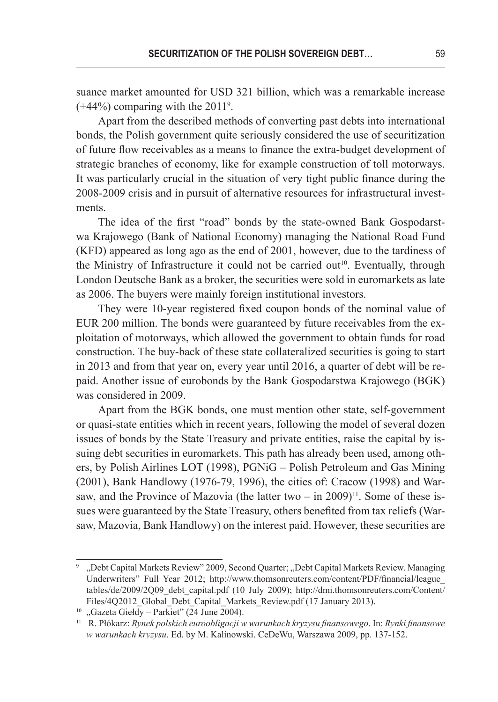suance market amounted for USD 321 billion, which was a remarkable increase  $(+44%)$  comparing with the 2011<sup>9</sup>.

Apart from the described methods of converting past debts into international bonds, the Polish government quite seriously considered the use of securitization of future flow receivables as a means to finance the extra-budget development of strategic branches of economy, like for example construction of toll motorways. It was particularly crucial in the situation of very tight public finance during the 2008-2009 crisis and in pursuit of alternative resources for infrastructural investments.

The idea of the first "road" bonds by the state-owned Bank Gospodarstwa Krajowego (Bank of National Economy) managing the National Road Fund (KFD) appeared as long ago as the end of 2001, however, due to the tardiness of the Ministry of Infrastructure it could not be carried out<sup>10</sup>. Eventually, through London Deutsche Bank as a broker, the securities were sold in euromarkets as late as 2006. The buyers were mainly foreign institutional investors.

They were 10-year registered fixed coupon bonds of the nominal value of EUR 200 million. The bonds were guaranteed by future receivables from the exploitation of motorways, which allowed the government to obtain funds for road construction. The buy-back of these state collateralized securities is going to start in 2013 and from that year on, every year until 2016, a quarter of debt will be repaid. Another issue of eurobonds by the Bank Gospodarstwa Krajowego (BGK) was considered in 2009.

Apart from the BGK bonds, one must mention other state, self-government or quasi-state entities which in recent years, following the model of several dozen issues of bonds by the State Treasury and private entities, raise the capital by issuing debt securities in euromarkets. This path has already been used, among others, by Polish Airlines LOT (1998), PGNiG – Polish Petroleum and Gas Mining (2001), Bank Handlowy (1976-79, 1996), the cities of: Cracow (1998) and Warsaw, and the Province of Mazovia (the latter two  $-$  in 2009)<sup>11</sup>. Some of these issues were guaranteed by the State Treasury, others benefited from tax reliefs (Warsaw, Mazovia, Bank Handlowy) on the interest paid. However, these securities are

<sup>&</sup>quot;Debt Capital Markets Review" 2009, Second Quarter; "Debt Capital Markets Review. Managing Underwriters" Full Year 2012; http://www.thomsonreuters.com/content/PDF/financial/league\_ tables/de/2009/2Q09\_debt\_capital.pdf (10 July 2009); http://dmi.thomsonreuters.com/Content/ Files/4Q2012\_Global\_Debt\_Capital\_Markets\_Review.pdf (17 January 2013).

 $10$  "Gazeta Giełdy – Parkiet" (24 June 2004).

<sup>11</sup> R. Płókarz: *Rynek polskich euroobligacji w warunkach kryzysu finansowego*. In: *Rynki finansowe w warunkach kryzysu*. Ed. by M. Kalinowski. CeDeWu, Warszawa 2009, pp. 137-152.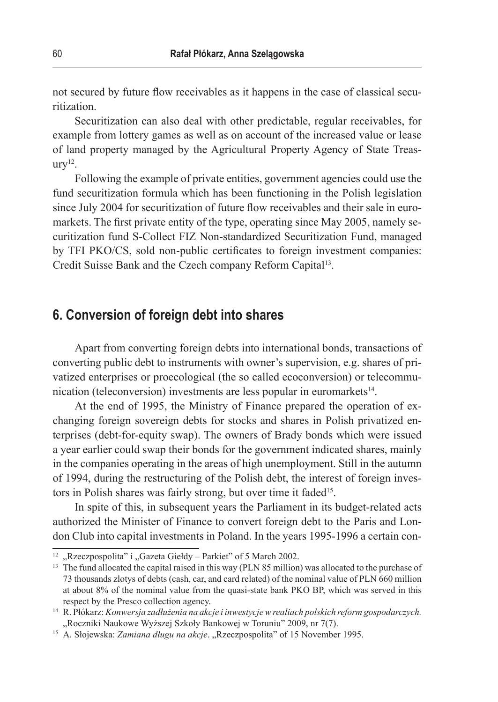not secured by future flow receivables as it happens in the case of classical securitization.

Securitization can also deal with other predictable, regular receivables, for example from lottery games as well as on account of the increased value or lease of land property managed by the Agricultural Property Agency of State Treas $urv^{12}$ .

Following the example of private entities, government agencies could use the fund securitization formula which has been functioning in the Polish legislation since July 2004 for securitization of future flow receivables and their sale in euromarkets. The first private entity of the type, operating since May 2005, namely securitization fund S-Collect FIZ Non-standardized Securitization Fund, managed by TFI PKO/CS, sold non-public certificates to foreign investment companies: Credit Suisse Bank and the Czech company Reform Capital13.

## **6. Conversion of foreign debt into shares**

Apart from converting foreign debts into international bonds, transactions of converting public debt to instruments with owner's supervision, e.g. shares of privatized enterprises or proecological (the so called ecoconversion) or telecommunication (teleconversion) investments are less popular in euromarkets<sup>14</sup>.

At the end of 1995, the Ministry of Finance prepared the operation of exchanging foreign sovereign debts for stocks and shares in Polish privatized enterprises (debt-for-equity swap). The owners of Brady bonds which were issued a year earlier could swap their bonds for the government indicated shares, mainly in the companies operating in the areas of high unemployment. Still in the autumn of 1994, during the restructuring of the Polish debt, the interest of foreign investors in Polish shares was fairly strong, but over time it faded<sup>15</sup>.

In spite of this, in subsequent years the Parliament in its budget-related acts authorized the Minister of Finance to convert foreign debt to the Paris and London Club into capital investments in Poland. In the years 1995-1996 a certain con-

<sup>&</sup>lt;sup>12</sup> "Rzeczpospolita" i "Gazeta Giełdy – Parkiet" of 5 March 2002.

<sup>&</sup>lt;sup>13</sup> The fund allocated the capital raised in this way (PLN 85 million) was allocated to the purchase of 73 thousands zlotys of debts (cash, car, and card related) of the nominal value of PLN 660 million at about 8% of the nominal value from the quasi-state bank PKO BP, which was served in this respect by the Presco collection agency.

<sup>14</sup> R. Płókarz: *Konwersja zadłużenia na akcje i inwestycje wrealiach polskich reform gospodarczych.* "Roczniki Naukowe Wyższej Szkoły Bankowej w Toruniu" 2009, nr 7(7).

<sup>&</sup>lt;sup>15</sup> A. Słojewska: *Zamiana długu na akcje.* "Rzeczpospolita" of 15 November 1995.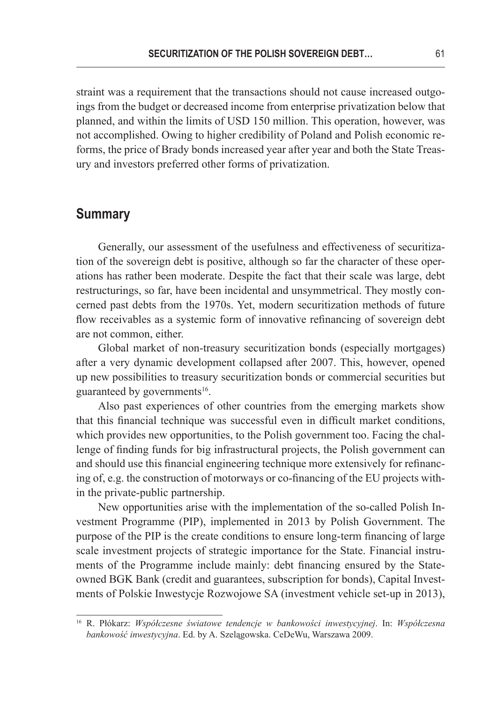straint was a requirement that the transactions should not cause increased outgoings from the budget or decreased income from enterprise privatization below that planned, and within the limits of USD 150 million. This operation, however, was not accomplished. Owing to higher credibility of Poland and Polish economic reforms, the price of Brady bonds increased year after year and both the State Treasury and investors preferred other forms of privatization.

## **Summary**

Generally, our assessment of the usefulness and effectiveness of securitization of the sovereign debt is positive, although so far the character of these operations has rather been moderate. Despite the fact that their scale was large, debt restructurings, so far, have been incidental and unsymmetrical. They mostly concerned past debts from the 1970s. Yet, modern securitization methods of future flow receivables as a systemic form of innovative refinancing of sovereign debt are not common, either.

Global market of non-treasury securitization bonds (especially mortgages) after a very dynamic development collapsed after 2007. This, however, opened up new possibilities to treasury securitization bonds or commercial securities but guaranteed by governments $16$ .

Also past experiences of other countries from the emerging markets show that this financial technique was successful even in difficult market conditions, which provides new opportunities, to the Polish government too. Facing the challenge of finding funds for big infrastructural projects, the Polish government can and should use this financial engineering technique more extensively for refinancing of, e.g. the construction of motorways or co-financing of the EU projects within the private-public partnership.

New opportunities arise with the implementation of the so-called Polish Investment Programme (PIP), implemented in 2013 by Polish Government. The purpose of the PIP is the create conditions to ensure long-term financing of large scale investment projects of strategic importance for the State. Financial instruments of the Programme include mainly: debt financing ensured by the Stateowned BGK Bank (credit and guarantees, subscription for bonds), Capital Investments of Polskie Inwestycje Rozwojowe SA (investment vehicle set-up in 2013),

<sup>16</sup> R. Płókarz: *Współczesne światowe tendencje w bankowości inwestycyjnej*. In: *Współczesna bankowość inwestycyjna*. Ed. by A. Szelągowska. CeDeWu, Warszawa 2009.